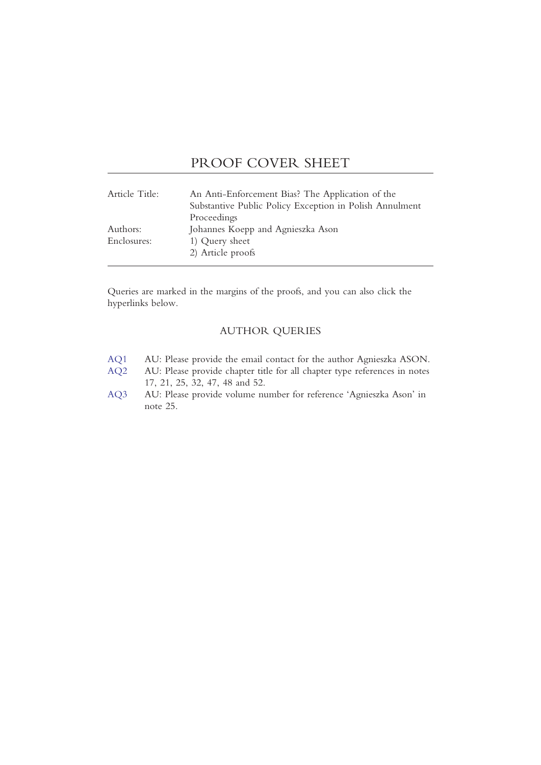## PROOF COVER SHEET

| Article Title: | An Anti-Enforcement Bias? The Application of the<br>Substantive Public Policy Exception in Polish Annulment |
|----------------|-------------------------------------------------------------------------------------------------------------|
|                | Proceedings                                                                                                 |
| Authors:       | Johannes Koepp and Agnieszka Ason                                                                           |
| Enclosures:    | 1) Query sheet                                                                                              |
|                | 2) Article proofs                                                                                           |

Queries are marked in the margins of the proofs, and you can also click the hyperlinks below.

## AUTHOR QUERIES

- [AQ1](#page-1-0) AU: Please provide the email contact for the author Agnieszka ASON.
- [AQ2](#page-4-0) AU: Please provide chapter title for all chapter type references in notes 17, 21, 25, 32, 47, 48 and 52.
- [AQ3](#page-6-0) AU: Please provide volume number for reference 'Agnieszka Ason' in note 25.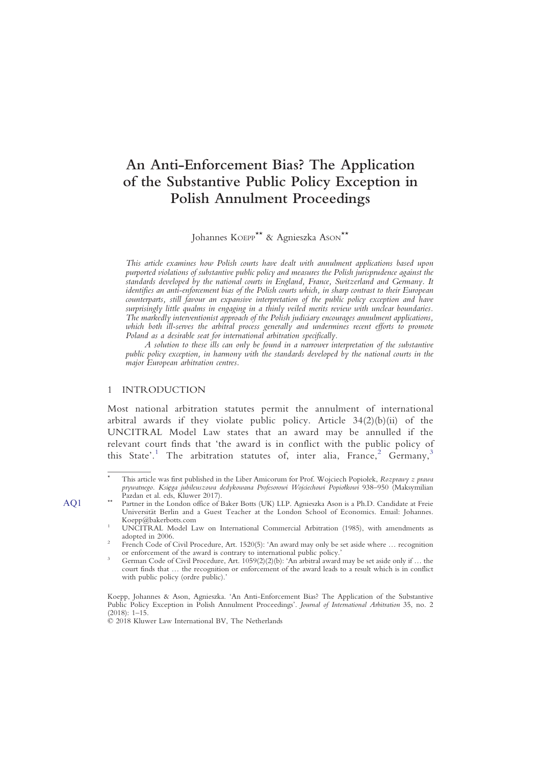# An Anti-Enforcement Bias? The Application of the Substantive Public Policy Exception in Polish Annulment Proceedings

Johannes KOEPP<sup>\*\*</sup> & Agnieszka Ason<sup>\*\*</sup>

This article examines how Polish courts have dealt with annulment applications based upon purported violations of substantive public policy and measures the Polish jurisprudence against the standards developed by the national courts in England, France, Switzerland and Germany. It identifies an anti-enforcement bias of the Polish courts which, in sharp contrast to their European counterparts, still favour an expansive interpretation of the public policy exception and have surprisingly little qualms in engaging in a thinly veiled merits review with unclear boundaries. The markedly interventionist approach of the Polish judiciary encourages annulment applications, which both ill-serves the arbitral process generally and undermines recent efforts to promote Poland as a desirable seat for international arbitration specifically.

A solution to these ills can only be found in a narrower interpretation of the substantive public policy exception, in harmony with the standards developed by the national courts in the major European arbitration centres.

#### 1 INTRODUCTION

Most national arbitration statutes permit the annulment of international arbitral awards if they violate public policy. Article 34(2)(b)(ii) of the UNCITRAL Model Law states that an award may be annulled if the relevant court finds that 'the award is in conflict with the public policy of this State'.<sup>1</sup> [The arbitration statutes of, inter alia, France,](#page-1-1)<sup>2</sup> [Germany,](#page-1-2)<sup>[3](#page-1-3)</sup>

<span id="page-1-0"></span>This article was first published in the Liber Amicorum for Prof. Wojciech Popiołek, Rozprawy z prawa prywatnego. Księga jubileuszowa dedykowana Profesorowi Wojciechowi Popiołkowi 938–950 (Maksymilian Pazdan et al. eds, Kluwer 2017).

AQ1 \*\* Partner in the London office of Baker Botts (UK) LLP. Agnieszka Ason is a Ph.D. Candidate at Freie Universität Berlin and a Guest Teacher at the London School of Economics. Email: Johannes.

<span id="page-1-1"></span>UNCITRAL Model Law on International Commercial Arbitration (1985), with amendments as adopted in 2006.

<span id="page-1-2"></span>French Code of Civil Procedure, Art. 1520(5): 'An award may only be set aside where ... recognition or enforcement of the award is contrary to international public policy.'

<span id="page-1-3"></span>German Code of Civil Procedure, Art.  $1059(2)(2)(b)$ : 'An arbitral award may be set aside only if ... the court finds that … the recognition or enforcement of the award leads to a result which is in conflict with public policy (ordre public).'

Koepp, Johannes & Ason, Agnieszka. 'An Anti-Enforcement Bias? The Application of the Substantive Public Policy Exception in Polish Annulment Proceedings'. Journal of International Arbitration 35, no. 2  $(2018) \cdot 1 - 15$ 

<sup>© 2018</sup> Kluwer Law International BV, The Netherlands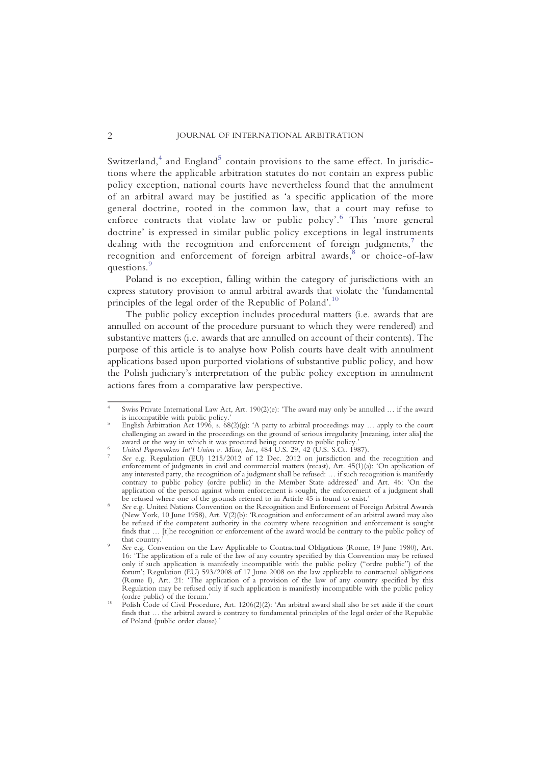Switzerland, $4$  [and England](#page-2-0) $5$  [contain provisions to the same effect. In jurisdic](#page-2-1)tions where the applicable arbitration statutes do not contain an express public policy exception, national courts have nevertheless found that the annulment of an arbitral award may be justified as 'a specific application of the more general doctrine, rooted in the common law, that a court may refuse to enforce contracts that violate law or public policy'.<sup>6</sup> This '[more general](#page-2-2) doctrine' is expressed in similar public policy exceptions in legal instruments dealing with [the](#page-2-3) recognition and enforcement of foreign judgments, $\bar{z}$  the recognition and enforcement of foreign arbitral awards,<sup>8</sup> [or choice-of-law](#page-2-4) questions.<sup>[9](#page-2-5)</sup>

Poland is no exception, falling within the category of jurisdictions with an express statutory provision to annul arbitral awards that violate the 'fundamental principles of the legal order of the Republic of Poland'.<sup>[10](#page-2-6)</sup>

The public policy exception includes procedural matters (i.e. awards that are annulled on account of the procedure pursuant to which they were rendered) and substantive matters (i.e. awards that are annulled on account of their contents). The purpose of this article is to analyse how Polish courts have dealt with annulment applications based upon purported violations of substantive public policy, and how the Polish judiciary's interpretation of the public policy exception in annulment actions fares from a comparative law perspective.

<span id="page-2-0"></span>Swiss Private International Law Act, Art.  $190(2)(e)$ : 'The award may only be annulled ... if the award is incompatible with public policy.'

<span id="page-2-1"></span>English Arbitration Act 1996, s.  $68(2)(g)$ : 'A party to arbitral proceedings may ... apply to the court challenging an award in the proceedings on the ground of serious irregularity [meaning, inter alia] the

<span id="page-2-2"></span>United Paperworkers Int'l Union v. Misco, Inc., 484 U.S. 29, 42 (U.S. S.Ct. 1987).<br>See e.g. Regulation (EU) 1215/2012 of 12 Dec. 2012 on jurisdiction and the recognition and

<span id="page-2-3"></span>enforcement of judgments in civil and commercial matters (recast), Art. 45(1)(a): 'On application of any interested party, the recognition of a judgment shall be refused: … if such recognition is manifestly contrary to public policy (ordre public) in the Member State addressed' and Art. 46: 'On the application of the person against whom enforcement is sought, the enforcement of a judgment shall

<span id="page-2-4"></span>be refused where one of the grounds referred to in Article 45 is found to exist.'<br>See e.g. United Nations Convention on the Recognition and Enforcement of Foreign Arbitral Awards (New York, 10 June 1958), Art. V(2)(b): 'Recognition and enforcement of an arbitral award may also be refused if the competent authority in the country where recognition and enforcement is sought finds that ... [t]he recognition or enforcement of the award would be contrary to the public policy of that country.'

<span id="page-2-5"></span>See e.g. Convention on the Law Applicable to Contractual Obligations (Rome, 19 June 1980), Art. 16: 'The application of a rule of the law of any country specified by this Convention may be refused only if such application is manifestly incompatible with the public policy ("ordre public") of the forum'; Regulation (EU) 593/2008 of 17 June 2008 on the law applicable to contractual obligations (Rome I), Art. 21: 'The application of a provision of the law of any country specified by this Regulation may be refused only if such application is manifestly incompatible with the public policy (ordre public) of the forum.'

<span id="page-2-6"></span>Polish Code of Civil Procedure, Art. 1206(2)(2): 'An arbitral award shall also be set aside if the court finds that … the arbitral award is contrary to fundamental principles of the legal order of the Republic of Poland (public order clause).'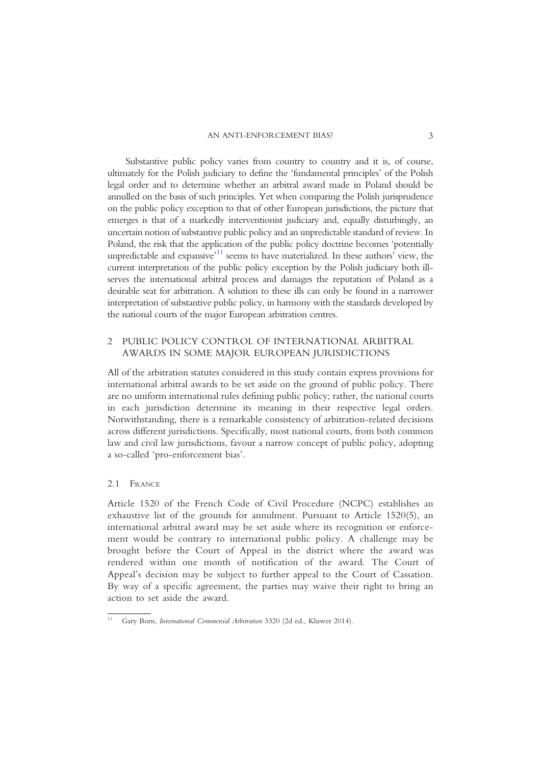Substantive public policy varies from country to country and it is, of course, ultimately for the Polish judiciary to define the 'fundamental principles' of the Polish legal order and to determine whether an arbitral award made in Poland should be annulled on the basis of such principles. Yet when comparing the Polish jurisprudence on the public policy exception to that of other European jurisdictions, the picture that emerges is that of a markedly interventionist judiciary and, equally disturbingly, an uncertain notion of substantive public policy and an unpredictable standard of review. In Poland, the risk that the application of the public policy doctrine becomes 'potentially unpredictable and expansive<sup>,11</sup> [seems to have materialized. In these authors](#page-3-0)' view, the current interpretation of the public policy exception by the Polish judiciary both illserves the international arbitral process and damages the reputation of Poland as a desirable seat for arbitration. A solution to these ills can only be found in a narrower interpretation of substantive public policy, in harmony with the standards developed by the national courts of the major European arbitration centres.

## 2 PUBLIC POLICY CONTROL OF INTERNATIONAL ARBITRAL AWARDS IN SOME MAJOR EUROPEAN JURISDICTIONS

All of the arbitration statutes considered in this study contain express provisions for international arbitral awards to be set aside on the ground of public policy. There are no uniform international rules defining public policy; rather, the national courts in each jurisdiction determine its meaning in their respective legal orders. Notwithstanding, there is a remarkable consistency of arbitration-related decisions across different jurisdictions. Specifically, most national courts, from both common law and civil law jurisdictions, favour a narrow concept of public policy, adopting a so-called 'pro-enforcement bias'.

#### 2.1 FRANCE

Article 1520 of the French Code of Civil Procedure (NCPC) establishes an exhaustive list of the grounds for annulment. Pursuant to Article 1520(5), an international arbitral award may be set aside where its recognition or enforcement would be contrary to international public policy. A challenge may be brought before the Court of Appeal in the district where the award was rendered within one month of notification of the award. The Court of Appeal's decision may be subject to further appeal to the Court of Cassation. By way of a specific agreement, the parties may waive their right to bring an action to set aside the award.

<span id="page-3-0"></span><sup>11</sup> Gary Born, International Commercial Arbitration 3320 (2d ed., Kluwer 2014).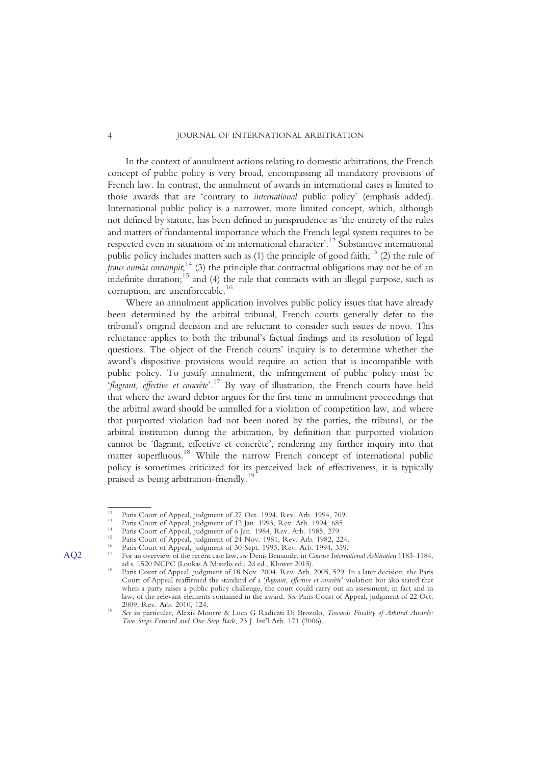In the context of annulment actions relating to domestic arbitrations, the French concept of public policy is very broad, encompassing all mandatory provisions of French law. In contrast, the annulment of awards in international cases is limited to those awards that are 'contrary to international public policy' (emphasis added). International public policy is a narrower, more limited concept, which, although not defined by statute, has been defined in jurisprudence as 'the entirety of the rules and matters of fundamental importance which the French legal system requires to be respected even in situations of an international character'. <sup>12</sup> [Substantive international](#page-4-1) public policy includes matters such as (1) the principle of good faith;<sup>13</sup> [\(2\) the rule of](#page-4-2) fraus onnia corrumpit;<sup>14</sup> [\(3\) the principle that contractual obligations may not be of an](#page-4-3) indefinite duration;<sup>15</sup> [and \(4\) the rule that contracts with an illegal purpose, such as](#page-4-4) corruption, are unenforceable.<sup>16</sup>

Where an annulment application involves public policy issues that have already been determined by the arbitral tribunal, French courts generally defer to the tribunal's original decision and are reluctant to consider such issues de novo. This reluctance applies to both the tribunal's factual findings and its resolution of legal questions. The object of the French courts' inquiry is to determine whether the award's dispositive provisions would require an action that is incompatible with public policy. To justify annulment, the infringement of public policy must be 'flagrant, effective et concrète'.<sup>17</sup> [By way of illustration, the French courts have held](#page-4-0) that where the award debtor argues for the first time in annulment proceedings that the arbitral award should be annulled for a violation of competition law, and where that purported violation had not been noted by the parties, the tribunal, or the arbitral institution during the arbitration, by definition that purported violation cannot be 'flagrant, effective et concrète', rendering any further inquiry into that matter superfluous.<sup>18</sup> [While the narrow French concept of international public](#page-4-6) policy is sometimes criticized for its perceived lack of effectiveness, it is typically praised as being arbitration-friendly.<sup>1</sup>

<span id="page-4-1"></span>

<span id="page-4-3"></span><span id="page-4-2"></span>

<span id="page-4-4"></span>

<span id="page-4-5"></span>

<span id="page-4-0"></span>

<sup>&</sup>lt;sup>12</sup> Paris Court of Appeal, judgment of 27 Oct. 1994, Rev. Arb. 1994, 709.<br>
<sup>13</sup> Paris Court of Appeal, judgment of 12 Jan. 1993, Rev. Arb. 1994, 685.<br>
<sup>14</sup> Paris Court of Appeal, judgment of 6 Jan. 1984, Rev. Arb. 1985,

<span id="page-4-6"></span>and 1520 NCPC (Louiss A Mistelis ed., 2d ed., Addverse).<br><sup>18</sup> Paris Court of Appeal, judgment of 18 Nov. 2004, Rev. Arb. 2005, 529. In a later decision, the Paris Court of Appeal reaffirmed the standard of a 'flagrant, effective et concrète' violation but also stated that when a party raises a public policy challenge, the court could carry out an assessment, in fact and in law, of the relevant elements contained in the award. See Paris Court of Appeal, judgment of 22 Oct.

<span id="page-4-7"></span><sup>&</sup>lt;sup>20</sup> See in particular, Alexis Mourre & Luca G Radicati Di Brozolo, *Towards Finality of Arbitral Awards*: Two Steps Forward and One Step Back, 23 J. Int'l Arb. 171 (2006).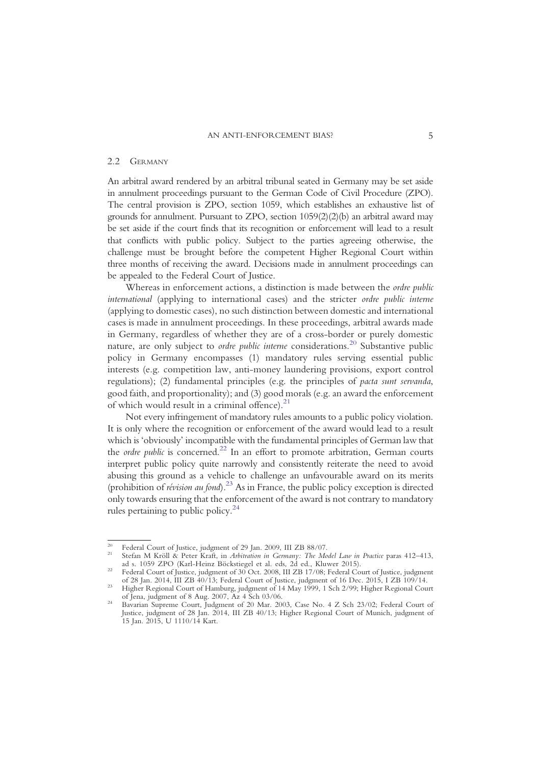#### 2.2 GERMANY

An arbitral award rendered by an arbitral tribunal seated in Germany may be set aside in annulment proceedings pursuant to the German Code of Civil Procedure (ZPO). The central provision is ZPO, section 1059, which establishes an exhaustive list of grounds for annulment. Pursuant to ZPO, section  $1059(2)(2)$  an arbitral award may be set aside if the court finds that its recognition or enforcement will lead to a result that conflicts with public policy. Subject to the parties agreeing otherwise, the challenge must be brought before the competent Higher Regional Court within three months of receiving the award. Decisions made in annulment proceedings can be appealed to the Federal Court of Justice.

Whereas in enforcement actions, a distinction is made between the *ordre public* international (applying to international cases) and the stricter ordre public interne (applying to domestic cases), no such distinction between domestic and international cases is made in annulment proceedings. In these proceedings, arbitral awards made in Germany, regardless of whether they are of a cross-border or purely domestic nature, are only subject to *ordre public interne* considerations.<sup>20</sup> [Substantive public](#page-5-0) policy in Germany encompasses (1) mandatory rules serving essential public interests (e.g. competition law, anti-money laundering provisions, export control regulations); (2) fundamental principles (e.g. the principles of pacta sunt servanda, good faith, and proportionality); and (3) good morals (e.g. an award the enforcement of which would result in a criminal offence). $21$ 

Not every infringement of mandatory rules amounts to a public policy violation. It is only where the recognition or enforcement of the award would lead to a result which is 'obviously' incompatible with the fundamental principles of German law that the *ordre public* is concerned.<sup>22</sup> [In an effort to promote arbitration, German courts](#page-5-2) interpret public policy quite narrowly and consistently reiterate the need to avoid abusing this ground as a vehicle to challenge an unfavourable award on its merits (prohibition of révision au fond).<sup>23</sup> [As in France, the public policy exception is directed](#page-5-3) only towards ensuring that the enforcement of the award is not contrary to mandatory rules pertaining to public policy. $24$ 

<span id="page-5-1"></span>

<span id="page-5-0"></span><sup>&</sup>lt;sup>20</sup> Federal Court of Justice, judgment of 29 Jan. 2009, III ZB 88/07.<br><sup>21</sup> Stefan M Kröll & Peter Kraft, in *Arbitration in Germany: The Model Law in Practice* paras 412–413, ad s. 1059 ZPO (Karl-Heinz Böckstiegel et al. eds, 2d ed., Kluwer 2015). <sup>22</sup> Federal Court of Justice, judgment of 30 Oct. 2008, III ZB 17/08; Federal Court of Justice, judgment

<span id="page-5-2"></span>

<span id="page-5-3"></span>of 28 Jan. 2014, III ZB 40/13; Federal Court of Justice, judgment of 16 Dec. 2015, I ZB 109/14.<br>Higher Regional Court of Hamburg, judgment of 14 May 1999, 1 Sch 2/99; Higher Regional Court<br>of Jena, judgment of 8 Aug. 2007,

<span id="page-5-4"></span><sup>&</sup>lt;sup>24</sup> Bavarian Supreme Court, Judgment of 20 Mar. 2003, Case No. 4 Z Sch 23/02; Federal Court of Justice, judgment of 28 Jan. 2014, III ZB 40/13; Higher Regional Court of Munich, judgment of 15 Jan. 2015, U 1110/14 Kart.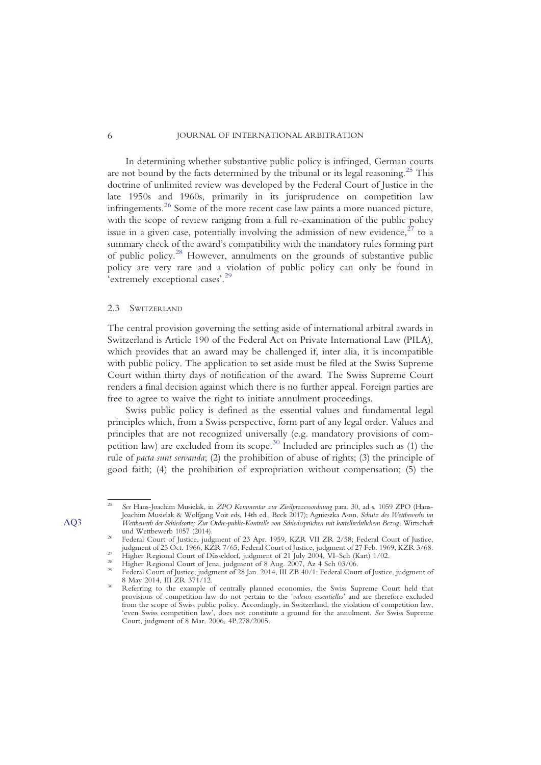In determining whether substantive public policy is infringed, German courts are not bound by the facts determined by the tribunal or its legal reasoning.<sup>25</sup> [This](#page-6-1) doctrine of unlimited review was developed by the Federal Court of Justice in the late 1950s and 1960s, primarily in its jurisprudence on competition law infringements.26 [Some of the more recent case law paints a more nuanced picture,](#page-6-2) with the scope of review ranging from a full re-examination of the public policy issue in a given case, potentially involving the admission of new evidence,  $27$  [to a](#page-6-3) summary check of the award's compatibility with the mandatory rules forming part of public policy.<sup>28</sup> [However, annulments on the grounds of substantive public](#page-6-4) policy are very rare and a violation of public policy can only be found in 'extremely exceptional cases'. [29](#page-6-5)

#### 2.3 SWITZERLAND

The central provision governing the setting aside of international arbitral awards in Switzerland is Article 190 of the Federal Act on Private International Law (PILA), which provides that an award may be challenged if, inter alia, it is incompatible with public policy. The application to set aside must be filed at the Swiss Supreme Court within thirty days of notification of the award. The Swiss Supreme Court renders a final decision against which there is no further appeal. Foreign parties are free to agree to waive the right to initiate annulment proceedings.

Swiss public policy is defined as the essential values and fundamental legal principles which, from a Swiss perspective, form part of any legal order. Values and principles that are not recognized universally (e.g. mandatory provisions of com-petition law) are excluded from its scope.<sup>30</sup> [Included are principles such as \(1\) the](#page-6-6) rule of pacta sunt servanda; (2) the prohibition of abuse of rights; (3) the principle of good faith; (4) the prohibition of expropriation without compensation; (5) the

<sup>25</sup> See Hans-Joachim Musielak, in ZPO Kommentar zur Zivilprozessordnung para. 30, ad s. 1059 ZPO (Hans-Joachim Musielak & Wolfgang Voit eds, 14th ed., Beck 2017); Agnieszka Ason, Schutz des Wettbewerbs im AQ3 Wettbewerb der Schiedsorte: Zur Ordre-public-Kontrolle von Schiedssprüchen mit kartellrechtlichem Bezug, Wirtschaft

<span id="page-6-2"></span><span id="page-6-1"></span><span id="page-6-0"></span>Federal Court of Justice, judgment of 23 Apr. 1959, KZR VII ZR 2/58; Federal Court of Justice, judgment of 25 Oct. 1966, KZR 7/65; Federal Court of Justice, judgment of 27 Feb. 1969, KZR 3/68.

<span id="page-6-5"></span><span id="page-6-4"></span>

<span id="page-6-3"></span><sup>&</sup>lt;sup>27</sup> Higher Regional Court of Düsseldorf, judgment of 21 July 2004, VI-Sch (Kart) 1/02.<br><sup>28</sup> Higher Regional Court of Jena, judgment of 8 Aug. 2007, Az 4 Sch 03/06.<br><sup>29</sup> Federal Court of Justice, judgment of 28 Jan. 2014,

<span id="page-6-6"></span>Referring to the example of centrally planned economies, the Swiss Supreme Court held that provisions of competition law do not pertain to the 'valeurs essentielles' and are therefore excluded from the scope of Swiss public policy. Accordingly, in Switzerland, the violation of competition law, 'even Swiss competition law', does not constitute a ground for the annulment. See Swiss Supreme Court, judgment of 8 Mar. 2006, 4P.278/2005.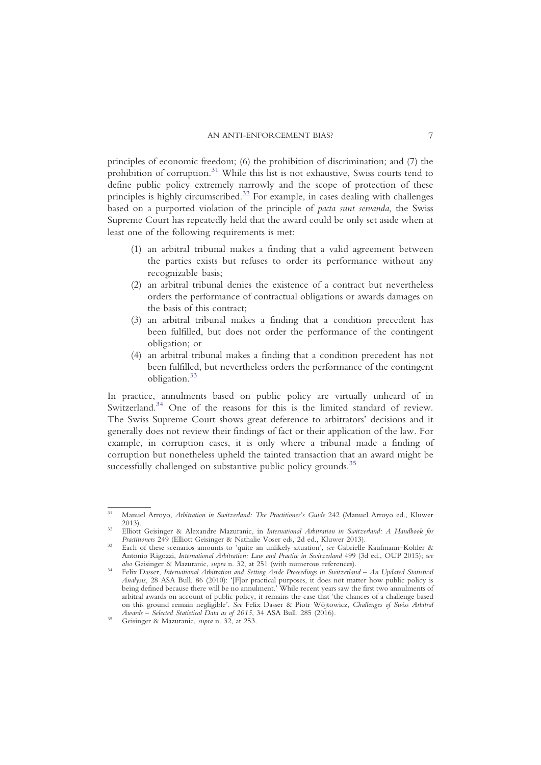principles of economic freedom; (6) the prohibition of discrimination; and (7) the prohibition of corruption.<sup>31</sup> [While this list is not exhaustive, Swiss courts tend to](#page-7-0) define public policy extremely narrowly and the scope of protection of these principles is highly circumscribed.<sup>32</sup> [For example, in cases dealing with challenges](#page-7-1) based on a purported violation of the principle of pacta sunt servanda, the Swiss Supreme Court has repeatedly held that the award could be only set aside when at least one of the following requirements is met:

- (1) an arbitral tribunal makes a finding that a valid agreement between the parties exists but refuses to order its performance without any recognizable basis;
- (2) an arbitral tribunal denies the existence of a contract but nevertheless orders the performance of contractual obligations or awards damages on the basis of this contract;
- (3) an arbitral tribunal makes a finding that a condition precedent has been fulfilled, but does not order the performance of the contingent obligation; or
- (4) an arbitral tribunal makes a finding that a condition precedent has not been fulfilled, but nevertheless orders the performance of the contingent obligation[.33](#page-7-2)

In practice, annulments based on public policy are virtually unheard of in Switzerland.<sup>34</sup> [One of the reasons for this is the limited standard of review.](#page-7-3) The Swiss Supreme Court shows great deference to arbitrators' decisions and it generally does not review their findings of fact or their application of the law. For example, in corruption cases, it is only where a tribunal made a finding of corruption but nonetheless upheld the tainted transaction that an award might be successfully challenged on substantive public policy grounds.<sup>[35](#page-7-4)</sup>

<span id="page-7-0"></span><sup>&</sup>lt;sup>31</sup> Manuel Arroyo, *Arbitration in Switzerland: The Practitioner's Guide* 242 (Manuel Arroyo ed., Kluwer

<span id="page-7-1"></span><sup>2013).&</sup>lt;br>2013). Siliott Geisinger & Alexandre Mazuranic, in International Arbitration in Switzerland: A Handbook for<br>21 Practitioners 249 (Elliott Geisinger & Nathalie Voser eds, 2d ed., Kluwer 2013).

<span id="page-7-2"></span>Each of these scenarios amounts to 'quite an unlikely situation', see Gabrielle Kaufmann–Kohler & Antonio Rigozzi, International Arbitration: Law and Practice in Switzerland 499 (3d ed., OUP 2015); see also Geisinger & Mazuranic, supra n. 32, at 251 (with numerous references).

<span id="page-7-3"></span>Felix Dasser, International Arbitration and Setting Aside Proceedings in Switzerland – An Updated Statistical Analysis, 28 ASA Bull. 86 (2010): '[F]or practical purposes, it does not matter how public policy is being defined because there will be no annulment.' While recent years saw the first two annulments of arbitral awards on account of public policy, it remains the case that 'the chances of a challenge based on this ground remain negligible'. See Felix Dasser & Piotr Wójtowicz, Challenges of Swiss Arbitral Awards – Selected Statistical Data as of 2015, 34 ASA Bull. 285 (2016).<br><sup>35</sup> Geisinger & Mazuranic, *supra* n. 32, at 253.

<span id="page-7-4"></span>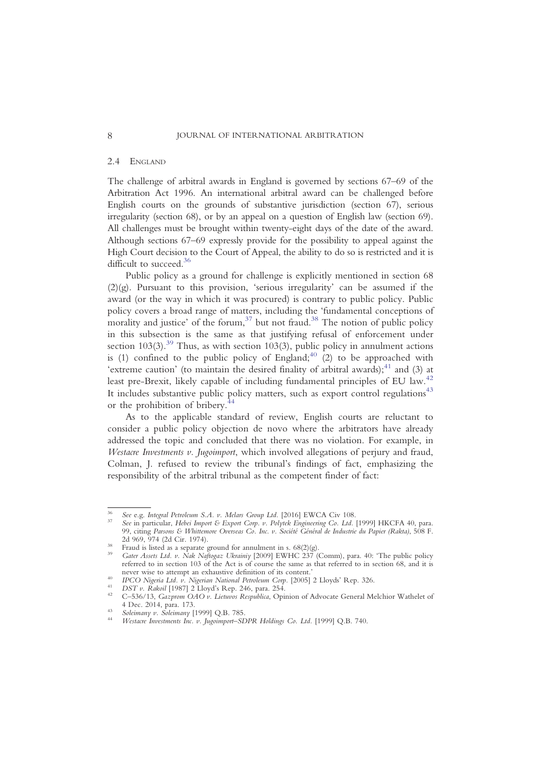#### 2.4 ENGLAND

The challenge of arbitral awards in England is governed by sections 67–69 of the Arbitration Act 1996. An international arbitral award can be challenged before English courts on the grounds of substantive jurisdiction (section 67), serious irregularity (section 68), or by an appeal on a question of English law (section 69). All challenges must be brought within twenty-eight days of the date of the award. Although sections 67–69 expressly provide for the possibility to appeal against the High Court decision to the Court of Appeal, the ability to do so is restricted and it is difficult to succeed.<sup>36</sup>

Public policy as a ground for challenge is explicitly mentioned in section 68  $(2)(g)$ . Pursuant to this provision, 'serious irregularity' can be assumed if the award (or the way in which it was procured) is contrary to public policy. Public policy covers a broad range of matters, including the 'fundamental conceptions of morality and justice' of the forum,  $37$  [but not fraud.](#page-8-1)<sup>38</sup> [The notion of public policy](#page-8-2) in this subsection is the same as that justifying refusal of enforcement under section  $103(3)$ .<sup>39</sup> [Thus, as with section 103\(3\), public policy in annulment actions](#page-8-3) is (1) confined to the public policy of England;<sup>40</sup> [\(2\) to be approached with](#page-8-4) 'extreme caution' (to maintain the desired finality of arbitral awards); $^{41}$  [and \(3\) at](#page-8-5) least pre-Brexit, likely capable of including fundamental principles of EU law.<sup>[42](#page-8-6)</sup> It includes substantive public policy matters, such as export control regulations $43$ or the prohibition of bribery.[44](#page-8-8)

As to the applicable standard of review, English courts are reluctant to consider a public policy objection de novo where the arbitrators have already addressed the topic and concluded that there was no violation. For example, in Westacre Investments v. Jugoimport, which involved allegations of perjury and fraud, Colman, J. refused to review the tribunal's findings of fact, emphasizing the responsibility of the arbitral tribunal as the competent finder of fact:

<span id="page-8-1"></span>

<span id="page-8-0"></span><sup>&</sup>lt;sup>36</sup> See e.g. Integral Petroleum S.A. v. Melars Group Ltd. [2016] EWCA Civ 108.<br><sup>37</sup> See in particular, Hebei Import & Export Corp. v. Polytek Engineering Co. Ltd. [1999] HKCFA 40, para. 99, citing Parsons & Whittemore Overseas Co. Inc. v. Société Général de Industrie du Papier (Rakta), 508 F.<br>2d 969, 974 (2d Cir. 1974). 2d 969, 974 (2d Cir. 1974).<br><sup>38</sup> Fraud is listed as a separate ground for annulment in s. 68(2)(g).<br><sup>39</sup> Gater Assets Ltd. v. Nak Naftogaz Ukrainiy [2009] EWHC 237 (Comm), para. 40: 'The public policy

<span id="page-8-2"></span>

<span id="page-8-3"></span>referred to in section 103 of the Act is of course the same as that referred to in section 68, and it is

<span id="page-8-4"></span>

<span id="page-8-6"></span><span id="page-8-5"></span>

never wise to attempt an exhaustive definition of its content.'<br>
<sup>40</sup> IPCO Nigeria Ltd. v. Nigerian National Petroleum Corp. [2005] 2 Lloyds' Rep. 326.<br>
<sup>41</sup> DST v. Rakoil [1987] 2 Lloyd's Rep. 246, para. 254.<br>
<sup>42</sup> C-536/

<span id="page-8-8"></span>

<span id="page-8-7"></span><sup>4</sup> Dec. 2014, para. 173. <sup>43</sup> Soleimany v. Soleimany [1999] Q.B. 785. <sup>44</sup> Westacre Investments Inc. v. Jugoimport–SDPR Holdings Co. Ltd. [1999] Q.B. 740.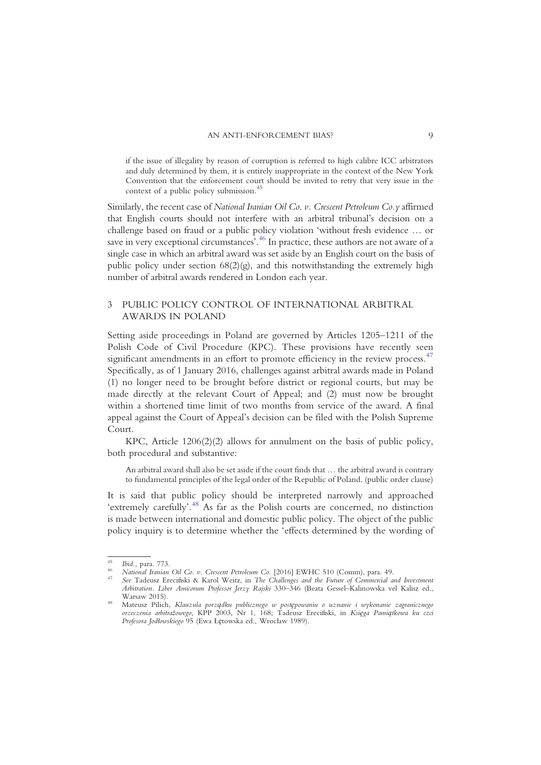if the issue of illegality by reason of corruption is referred to high calibre ICC arbitrators and duly determined by them, it is entirely inappropriate in the context of the New York Convention that the enforcement court should be invited to retry that very issue in the context of a public policy submission.<sup>45</sup>

Similarly, the recent case of National Iranian Oil Co. v. Crescent Petroleum Co.y affirmed that English courts should not interfere with an arbitral tribunal's decision on a challenge based on fraud or a public policy violation 'without fresh evidence … or save in very exceptional circumstances<sup>, 46</sup> [In practice, these authors are not aware of a](#page-9-1) single case in which an arbitral award was set aside by an English court on the basis of public policy under section  $68(2)(g)$ , and this notwithstanding the extremely high number of arbitral awards rendered in London each year.

## 3 PUBLIC POLICY CONTROL OF INTERNATIONAL ARBITRAL AWARDS IN POLAND

Setting aside proceedings in Poland are governed by Articles 1205–1211 of the Polish Code of Civil Procedure (KPC). These provisions have recently seen significant amendments in an effort to promote efficiency in the review process.<sup>[47](#page-9-2)</sup> Specifically, as of 1 January 2016, challenges against arbitral awards made in Poland (1) no longer need to be brought before district or regional courts, but may be made directly at the relevant Court of Appeal; and (2) must now be brought within a shortened time limit of two months from service of the award. A final appeal against the Court of Appeal's decision can be filed with the Polish Supreme Court.

KPC, Article 1206(2)(2) allows for annulment on the basis of public policy, both procedural and substantive:

An arbitral award shall also be set aside if the court finds that … the arbitral award is contrary to fundamental principles of the legal order of the Republic of Poland. (public order clause)

It is said that public policy should be interpreted narrowly and approached 'extremely carefully'.<sup>48</sup> [As far as the Polish courts are concerned, no distinction](#page-9-3) is made between international and domestic public policy. The object of the public policy inquiry is to determine whether the 'effects determined by the wording of

<span id="page-9-1"></span>

<span id="page-9-2"></span>

<span id="page-9-0"></span><sup>&</sup>lt;sup>45</sup> Ibid., para. 773.<br><sup>46</sup> National Iranian Oil Co. v. Crescent Petroleum Co. [2016] EWHC 510 (Comm), para. 49.<br><sup>47</sup> See Tadeusz Ereciński & Karol Weitz, in *The Challenges and the Future of Commercial and Investment* Arbitration. Liber Amicorum Professor Jerzy Rajski 330–346 (Beata Gessel–Kalinowska vel Kalisz ed.,

<span id="page-9-3"></span>Warsaw 2015). <sup>48</sup> Mateusz Pilich, Klauzula porządku publicznego w postępowaniu o uznanie i wykonanie zagranicznego orzeczenia arbitrażowego, KPP 2003, Nr 1, 168; Tadeusz Ereciński, in Księga Pamiątkowa ku czci Profesora Jodłowskiego 95 (Ewa Łętowska ed., Wrocław 1989).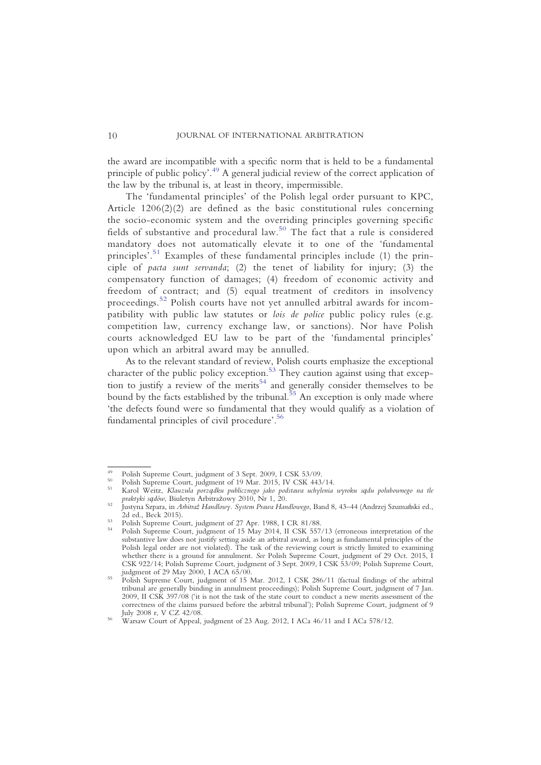the award are incompatible with a specific norm that is held to be a fundamental principle of public policy'. <sup>49</sup> [A general judicial review of the correct application of](#page-10-0) the law by the tribunal is, at least in theory, impermissible.

The 'fundamental principles' of the Polish legal order pursuant to KPC, Article 1206(2)(2) are defined as the basic constitutional rules concerning the socio-economic system and the overriding principles governing specific fields of substantive and procedural law.<sup>50</sup> [The fact that a rule is considered](#page-10-1) mandatory does not automatically elevate it to one of the 'fundamental principles<sup>5.1</sup> [Examples of these fundamental principles include \(1\) the prin](#page-10-2)ciple of pacta sunt servanda; (2) the tenet of liability for injury; (3) the compensatory function of damages; (4) freedom of economic activity and freedom of contract; and (5) equal treatment of creditors in insolvency proceedings.<sup>52</sup> [Polish courts have not yet annulled arbitral awards for incom](#page-10-3)patibility with public law statutes or lois de police public policy rules (e.g. competition law, currency exchange law, or sanctions). Nor have Polish courts acknowledged EU law to be part of the 'fundamental principles' upon which an arbitral award may be annulled.

As to the relevant standard of review, Polish courts emphasize the exceptional character of the public policy exception.<sup>53</sup> [They caution against using that excep](#page-10-4)tion to justify a review of the merits<sup>54</sup> [and generally consider themselves to be](#page-10-5) bound by the facts established by the tribunal.<sup>55</sup> [An exception is only made where](#page-10-6) 'the defects found were so fundamental that they would qualify as a violation of fundamental principles of civil procedure'. [56](#page-10-7)

<span id="page-10-1"></span>

<span id="page-10-2"></span>

<span id="page-10-0"></span><sup>&</sup>lt;sup>49</sup> Polish Supreme Court, judgment of 3 Sept. 2009, I CSK 53/09.<br><sup>50</sup> Polish Supreme Court, judgment of 19 Mar. 2015, IV CSK 443/14.<br><sup>51</sup> Karol Weitz, *Klauzula porządku publicznego jako podstawa uchylenia wyroku sądu pol* 

<span id="page-10-3"></span>praktyki sądów, Biuletyn Arbitrażowy 2010, Nr 1, 20.<br>Justyna Szpara, in *Arbitraż Handlowy. System Prawa Handlowego*, Band 8, 43–44 (Andrzej Szumański ed., 2d ed., Beck 2015).

<span id="page-10-5"></span>

<span id="page-10-4"></span><sup>2016).</sup> Folish Supreme Court, judgment of 27 Apr. 1988, I CR 81/88.<br><sup>54</sup> Polish Supreme Court, judgment of 15 May 2014, II CSK 557/13 (erroneous interpretation of the substantive law does not justify setting aside an arbitral award, as long as fundamental principles of the Polish legal order are not violated). The task of the reviewing court is strictly limited to examining whether there is a ground for annulment. See Polish Supreme Court, judgment of 29 Oct. 2015, I CSK 922/14; Polish Supreme Court, judgment of 3 Sept. 2009, I CSK 53/09; Polish Supreme Court, judgment of 29 May 2000, I ACA 65/00.<br>Polish Supreme Court, judgment of 15 Mar. 2012, I CSK 286/11 (factual findings of the arbitral

<span id="page-10-6"></span>tribunal are generally binding in annulment proceedings); Polish Supreme Court, judgment of 7 Jan. 2009, II CSK 397/08 ('it is not the task of the state court to conduct a new merits assessment of the correctness of the claims pursued before the arbitral tribunal'); Polish Supreme Court, judgment of 9

<span id="page-10-7"></span>Warsaw Court of Appeal, judgment of 23 Aug. 2012, I ACa 46/11 and I ACa 578/12.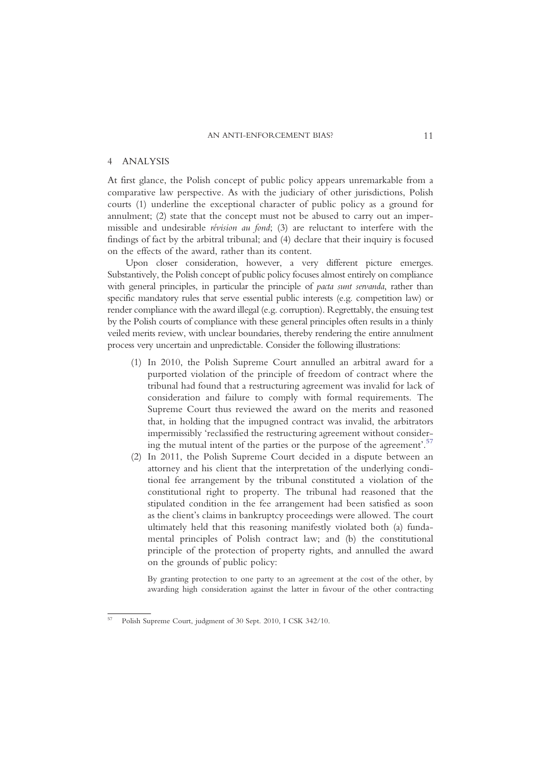#### 4 ANALYSIS

At first glance, the Polish concept of public policy appears unremarkable from a comparative law perspective. As with the judiciary of other jurisdictions, Polish courts (1) underline the exceptional character of public policy as a ground for annulment; (2) state that the concept must not be abused to carry out an impermissible and undesirable révision au fond; (3) are reluctant to interfere with the findings of fact by the arbitral tribunal; and (4) declare that their inquiry is focused on the effects of the award, rather than its content.

Upon closer consideration, however, a very different picture emerges. Substantively, the Polish concept of public policy focuses almost entirely on compliance with general principles, in particular the principle of *pacta sunt servanda*, rather than specific mandatory rules that serve essential public interests (e.g. competition law) or render compliance with the award illegal (e.g. corruption). Regrettably, the ensuing test by the Polish courts of compliance with these general principles often results in a thinly veiled merits review, with unclear boundaries, thereby rendering the entire annulment process very uncertain and unpredictable. Consider the following illustrations:

- (1) In 2010, the Polish Supreme Court annulled an arbitral award for a purported violation of the principle of freedom of contract where the tribunal had found that a restructuring agreement was invalid for lack of consideration and failure to comply with formal requirements. The Supreme Court thus reviewed the award on the merits and reasoned that, in holding that the impugned contract was invalid, the arbitrators impermissibly 'reclassified the restructuring agreement without considering the mutual intent of the parties or the purpose of the agreement'. [57](#page-11-0)
- (2) In 2011, the Polish Supreme Court decided in a dispute between an attorney and his client that the interpretation of the underlying conditional fee arrangement by the tribunal constituted a violation of the constitutional right to property. The tribunal had reasoned that the stipulated condition in the fee arrangement had been satisfied as soon as the client's claims in bankruptcy proceedings were allowed. The court ultimately held that this reasoning manifestly violated both (a) fundamental principles of Polish contract law; and (b) the constitutional principle of the protection of property rights, and annulled the award on the grounds of public policy:

By granting protection to one party to an agreement at the cost of the other, by awarding high consideration against the latter in favour of the other contracting

<span id="page-11-0"></span><sup>57</sup> Polish Supreme Court, judgment of 30 Sept. 2010, I CSK 342/10.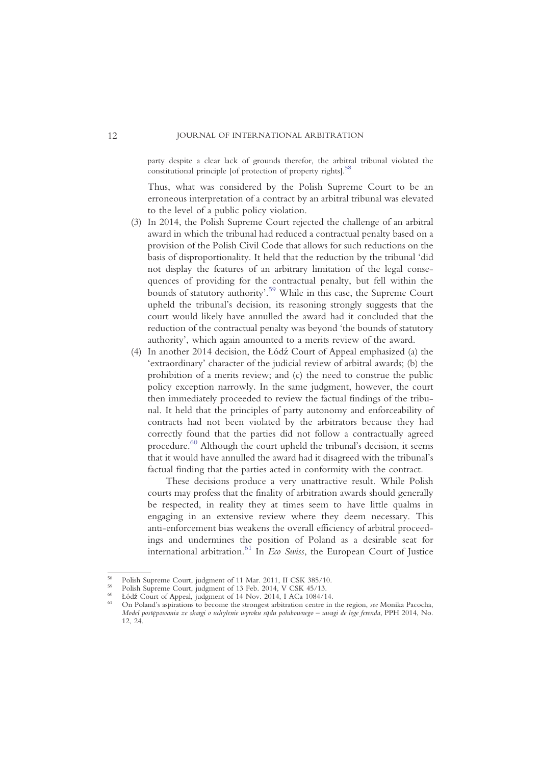party despite a clear lack of grounds therefor, the arbitral tribunal violated the constitutional principle [of protection of property rights]. $58$ 

Thus, what was considered by the Polish Supreme Court to be an erroneous interpretation of a contract by an arbitral tribunal was elevated to the level of a public policy violation.

- (3) In 2014, the Polish Supreme Court rejected the challenge of an arbitral award in which the tribunal had reduced a contractual penalty based on a provision of the Polish Civil Code that allows for such reductions on the basis of disproportionality. It held that the reduction by the tribunal 'did not display the features of an arbitrary limitation of the legal consequences of providing for the contractual penalty, but fell within the bounds of statutory authority'. <sup>59</sup> [While in this case, the Supreme Court](#page-12-1) upheld the tribunal's decision, its reasoning strongly suggests that the court would likely have annulled the award had it concluded that the reduction of the contractual penalty was beyond 'the bounds of statutory authority', which again amounted to a merits review of the award.
- (4) In another 2014 decision, the Łódź Court of Appeal emphasized (a) the 'extraordinary' character of the judicial review of arbitral awards; (b) the prohibition of a merits review; and (c) the need to construe the public policy exception narrowly. In the same judgment, however, the court then immediately proceeded to review the factual findings of the tribunal. It held that the principles of party autonomy and enforceability of contracts had not been violated by the arbitrators because they had correctly found that the parties did not follow a contractually agreed procedure.60 [Although the court upheld the tribunal](#page-12-2)'s decision, it seems that it would have annulled the award had it disagreed with the tribunal's factual finding that the parties acted in conformity with the contract.

These decisions produce a very unattractive result. While Polish courts may profess that the finality of arbitration awards should generally be respected, in reality they at times seem to have little qualms in engaging in an extensive review where they deem necessary. This anti-enforcement bias weakens the overall efficiency of arbitral proceedings and undermines the position of Poland as a desirable seat for international arbitration.<sup>61</sup> In Eco Swiss[, the European Court of Justice](#page-12-3)

<span id="page-12-2"></span><span id="page-12-1"></span>

<span id="page-12-3"></span>

<span id="page-12-0"></span><sup>&</sup>lt;sup>58</sup> Polish Supreme Court, judgment of 11 Mar. 2011, II CSK 385/10.<br><sup>59</sup> Polish Supreme Court, judgment of 13 Feb. 2014, V CSK 45/13.<br><sup>60</sup> Łódź Court of Appeal, judgment of 14 Nov. 2014, I ACa 1084/14.<br><sup>61</sup> On Poland's as Model postępowania ze skargi o uchylenie wyroku sądu polubownego – uwagi de lege ferenda, PPH 2014, No. 12, 24.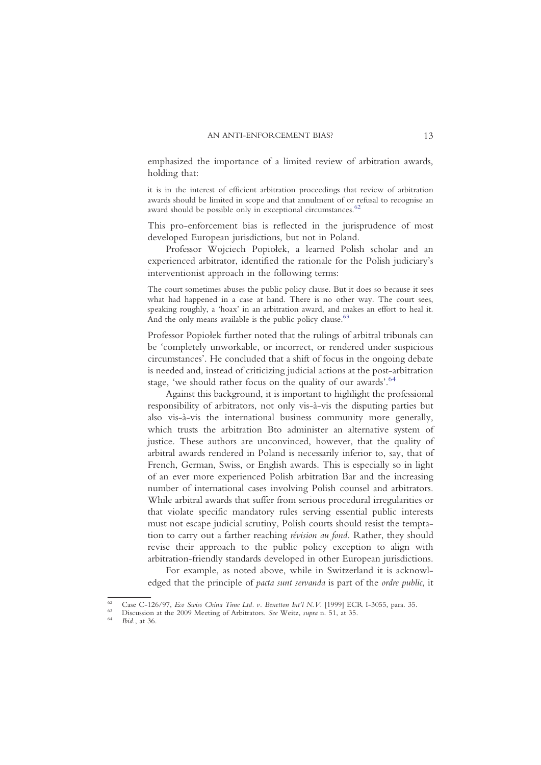emphasized the importance of a limited review of arbitration awards, holding that:

it is in the interest of efficient arbitration proceedings that review of arbitration awards should be limited in scope and that annulment of or refusal to recognise an award should be possible only in exceptional circumstances.<sup>6</sup>

This pro-enforcement bias is reflected in the jurisprudence of most developed European jurisdictions, but not in Poland.

Professor Wojciech Popiołek, a learned Polish scholar and an experienced arbitrator, identified the rationale for the Polish judiciary's interventionist approach in the following terms:

The court sometimes abuses the public policy clause. But it does so because it sees what had happened in a case at hand. There is no other way. The court sees, speaking roughly, a 'hoax' in an arbitration award, and makes an effort to heal it. And the only means available is the public policy clause. $63$ 

Professor Popiołek further noted that the rulings of arbitral tribunals can be 'completely unworkable, or incorrect, or rendered under suspicious circumstances'. He concluded that a shift of focus in the ongoing debate is needed and, instead of criticizing judicial actions at the post-arbitration stage, 'we should rather focus on the quality of our awards'.<sup>[64](#page-13-2)</sup>

Against this background, it is important to highlight the professional responsibility of arbitrators, not only vis-à-vis the disputing parties but also vis-à-vis the international business community more generally, which trusts the arbitration Bto administer an alternative system of justice. These authors are unconvinced, however, that the quality of arbitral awards rendered in Poland is necessarily inferior to, say, that of French, German, Swiss, or English awards. This is especially so in light of an ever more experienced Polish arbitration Bar and the increasing number of international cases involving Polish counsel and arbitrators. While arbitral awards that suffer from serious procedural irregularities or that violate specific mandatory rules serving essential public interests must not escape judicial scrutiny, Polish courts should resist the temptation to carry out a farther reaching révision au fond. Rather, they should revise their approach to the public policy exception to align with arbitration-friendly standards developed in other European jurisdictions.

For example, as noted above, while in Switzerland it is acknowledged that the principle of pacta sunt servanda is part of the ordre public, it

<span id="page-13-0"></span><sup>&</sup>lt;sup>62</sup> Case C-126/97, Eco Swiss China Time Ltd. v. Benetton Int'l N.V. [1999] ECR I-3055, para. 35.<br><sup>63</sup> Discussion at the 2009 Meeting of Arbitrators. See Weitz, supra n. 51, at 35.<br>*bid.*, at 36.

<span id="page-13-1"></span>

<span id="page-13-2"></span>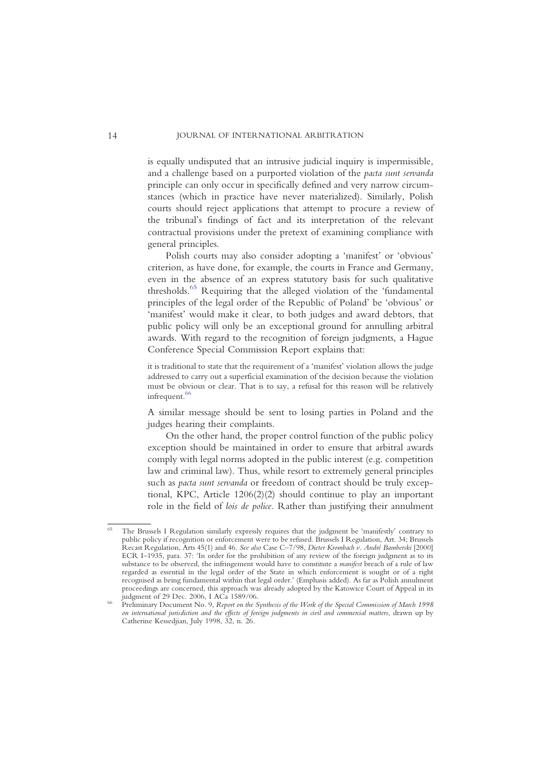is equally undisputed that an intrusive judicial inquiry is impermissible, and a challenge based on a purported violation of the pacta sunt servanda principle can only occur in specifically defined and very narrow circumstances (which in practice have never materialized). Similarly, Polish courts should reject applications that attempt to procure a review of the tribunal's findings of fact and its interpretation of the relevant contractual provisions under the pretext of examining compliance with general principles.

Polish courts may also consider adopting a 'manifest' or 'obvious' criterion, as have done, for example, the courts in France and Germany, even in the absence of an express statutory basis for such qualitative thresholds.<sup>65</sup> [Requiring that the alleged violation of the](#page-14-0) 'fundamental principles of the legal order of the Republic of Poland' be 'obvious' or 'manifest' would make it clear, to both judges and award debtors, that public policy will only be an exceptional ground for annulling arbitral awards. With regard to the recognition of foreign judgments, a Hague Conference Special Commission Report explains that:

it is traditional to state that the requirement of a 'manifest' violation allows the judge addressed to carry out a superficial examination of the decision because the violation must be obvious or clear. That is to say, a refusal for this reason will be relatively infrequent.<sup>[66](#page-14-1)</sup>

A similar message should be sent to losing parties in Poland and the judges hearing their complaints.

On the other hand, the proper control function of the public policy exception should be maintained in order to ensure that arbitral awards comply with legal norms adopted in the public interest (e.g. competition law and criminal law). Thus, while resort to extremely general principles such as pacta sunt servanda or freedom of contract should be truly exceptional, KPC, Article 1206(2)(2) should continue to play an important role in the field of lois de police. Rather than justifying their annulment

<span id="page-14-0"></span>The Brussels I Regulation similarly expressly requires that the judgment be 'manifestly' contrary to public policy if recognition or enforcement were to be refused. Brussels I Regulation, Art. 34; Brussels Recast Regulation, Arts 45(1) and 46. See also Case C–7/98, Dieter Krombach v. André Bamberski [2000] ECR I–1935, para. 37: 'In order for the prohibition of any review of the foreign judgment as to its substance to be observed, the infringement would have to constitute a manifest breach of a rule of law regarded as essential in the legal order of the State in which enforcement is sought or of a right recognised as being fundamental within that legal order.' (Emphasis added). As far as Polish annulment proceedings are concerned, this approach was already adopted by the Katowice Court of Appeal in its

<span id="page-14-1"></span>Preliminary Document No. 9. Report on the Synthesis of the Work of the Special Commission of March 1998 on international jurisdiction and the effects of foreign judgments in civil and commercial matters, drawn up by Catherine Kessedjian, July 1998, 32, n. 26.